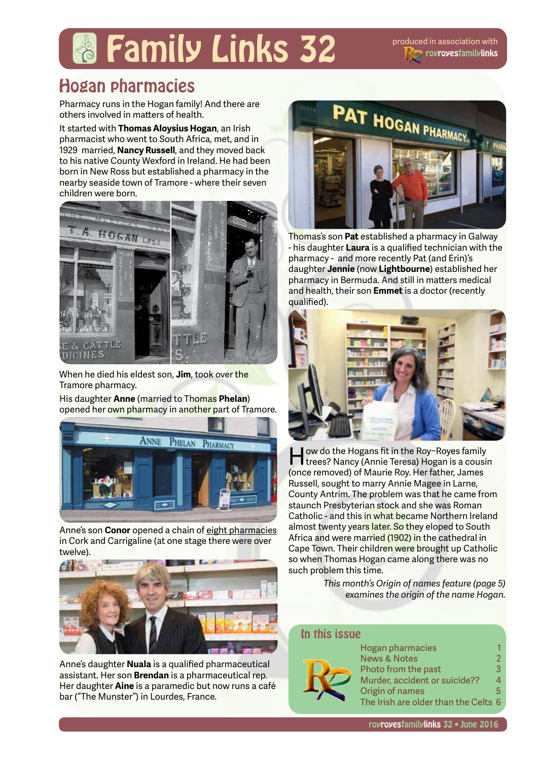# **Family Links 32** produced in association with

# Hogan pharmacies

Pharmacy runs in the Hogan family! And there are others involved in matters of health.

It started with **Thomas Aloysius Hogan**, an Irish pharmacist who went to South Africa, met, and in 1929 married, **Nancy Russell**, and they moved back to his native County Wexford in Ireland. He had been born in New Ross but established a pharmacy in the nearby seaside town of Tramore - where their seven children were born.



When he died his eldest son, **Jim**, took over the Tramore pharmacy.

His daughter **Anne** (married to Thomas **Phelan**) opened her own pharmacy in another part of Tramore.



Anne's son **Conor** opened a chain of eight pharmacies in Cork and Carrigaline (at one stage there were over twelve).



Anne's daughter **Nuala** is a qualified pharmaceutical assistant. Her son **Brendan** is a pharmaceutical rep. Her daughter **Aine** is a paramedic but now runs a café bar ("The Munster") in Lourdes, France.



Thomas's son **Pat** established a pharmacy in Galway - his daughter **Laura** is a qualified technician with the pharmacy - and more recently Pat (and Erin)'s daughter **Jennie** (now **Lightbourne**) established her pharmacy in Bermuda. And still in matters medical and health, their son **Emmet** is a doctor (recently qualified).



How do the Hogans fit in the Roy~Royes family trees? Nancy (Annie Teresa) Hogan is a cousin (once removed) of Maurie Roy. Her father, James Russell, sought to marry Annie Magee in Larne, County Antrim. The problem was that he came from staunch Presbyterian stock and she was Roman Catholic - and this in what became Northern Ireland almost twenty years later. So they eloped to South Africa and were married (1902) in the cathedral in Cape Town. Their children were brought up Catholic so when Thomas Hogan came along there was no such problem this time.

> *This month's Origin of names feature (page 5) examines the origin of the name Hogan.*

#### In this issue



Hogan pharmacies 1<br>News & Notes 1 **News & Notes** Photo from the past 3 Murder, accident or suicide?? 4 Origin of names 5 The Irish are older than the Celts 6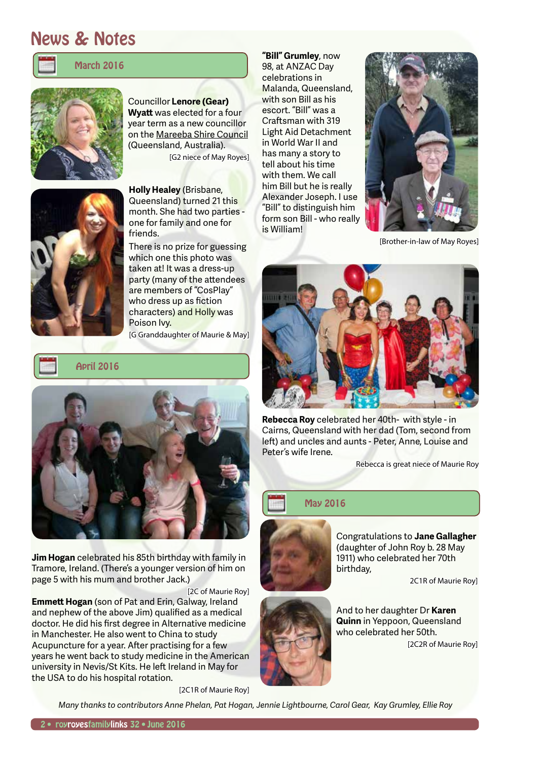### News & Notes



#### March 2016



Councillor **Lenore (Gear) Wyatt** was elected for a four year term as a new councillor on the Mareeba Shire Council (Queensland, Australia). [G2 niece of May Royes]



**Holly Healey** (Brisbane, Queensland) turned 21 this month. She had two parties one for family and one for friends.

There is no prize for guessing which one this photo was taken at! It was a dress-up party (many of the attendees are members of "CosPlay" who dress up as fiction characters) and Holly was Poison Ivy.

[G Granddaughter of Maurie & May]





**Jim Hogan** celebrated his 85th birthday with family in Tramore, Ireland. (There's a younger version of him on page 5 with his mum and brother Jack.)

[2C of Maurie Roy]

**Emmett Hogan** (son of Pat and Erin, Galway, Ireland and nephew of the above Jim) qualified as a medical doctor. He did his first degree in Alternative medicine in Manchester. He also went to China to study Acupuncture for a year. After practising for a few years he went back to study medicine in the American university in Nevis/St Kits. He left Ireland in May for the USA to do his hospital rotation.

[2C1R of Maurie Roy]

**"Bill" Grumley**, now 98, at ANZAC Day celebrations in Malanda, Queensland, with son Bill as his escort. "Bill" was a Craftsman with 319 Light Aid Detachment in World War II and has many a story to tell about his time with them. We call him Bill but he is really Alexander Joseph. I use "Bill" to distinguish him form son Bill - who really is William!



[Brother-in-law of May Royes]



**Rebecca Roy** celebrated her 40th- with style - in Cairns, Queensland with her dad (Tom, second from left) and uncles and aunts - Peter, Anne, Louise and Peter's wife Irene.

Rebecca is great niece of Maurie Roy

#### May 2016



Congratulations to **Jane Gallagher** (daughter of John Roy b. 28 May 1911) who celebrated her 70th birthday,

2C1R of Maurie Roy]

And to her daughter Dr **Karen Quinn** in Yeppoon, Queensland who celebrated her 50th. [2C2R of Maurie Roy]

*Many thanks to contributors Anne Phelan, Pat Hogan, Jennie Lightbourne, Carol Gear, Kay Grumley, Ellie Roy*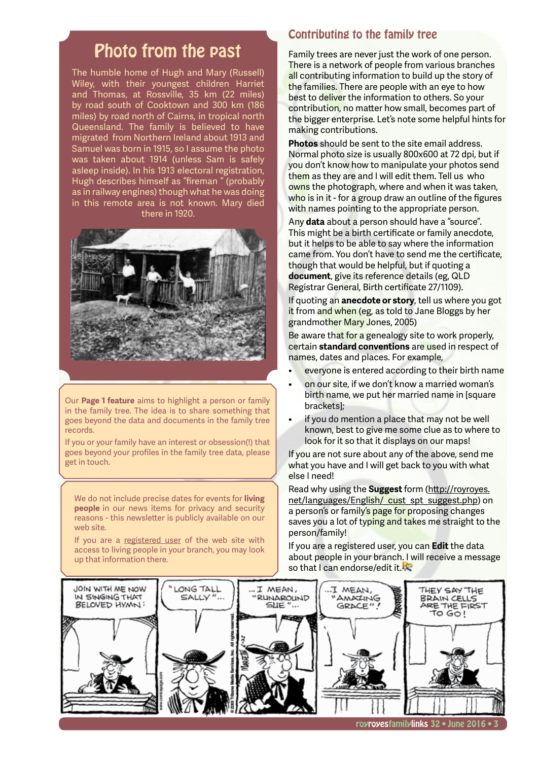### Photo from the past

The humble home of Hugh and Mary (Russell) Wiley, with their youngest children Harriet and Thomas, at Rossville, 35 km (22 miles) by road south of Cooktown and 300 km (186 miles) by road north of Cairns, in tropical north Queensland. The family is believed to have migrated from Northern Ireland about 1913 and Samuel was born in 1915, so I assume the photo was taken about 1914 (unless Sam is safely asleep inside). In his 1913 electoral registration, Hugh describes himself as "fireman " (probably as in railway engines) though what he was doing in this remote area is not known. Mary died there in 1920.



Our **Page 1 feature** aims to highlight a person or family in the family tree. The idea is to share something that goes beyond the data and documents in the family tree records.

If you or your family have an interest or obsession(!) that goes beyond your profiles in the family tree data, please get in touch.

We do not include precise dates for events for **living people** in our news items for privacy and security reasons - this newsletter is publicly available on our web site.

If you are a registered user of the web site with access to living people in your branch, you may look up that information there.

### Contributing to the family tree

Family trees are never just the work of one person. There is a network of people from various branches all contributing information to build up the story of the families. There are people with an eye to how best to deliver the information to others. So your contribution, no matter how small, becomes part of the bigger enterprise. Let's note some helpful hints for making contributions.

**Photos** should be sent to the site email address. Normal photo size is usually 800x600 at 72 dpi, but if you don't know how to manipulate your photos send them as they are and I will edit them. Tell us who owns the photograph, where and when it was taken, who is in it - for a group draw an outline of the figures with names pointing to the appropriate person.

Any **data** about a person should have a "source". This might be a birth certificate or family anecdote, but it helps to be able to say where the information came from. You don't have to send me the certificate, though that would be helpful, but if quoting a **document**, give its reference details (eg, QLD Registrar General, Birth certificate 27/1109).

If quoting an **anecdote or story**, tell us where you got it from and when (eg, as told to Jane Bloggs by her grandmother Mary Jones, 2005)

Be aware that for a genealogy site to work properly, certain **standard conventions** are used in respect of names, dates and places. For example,

- everyone is entered according to their birth name
- on our site, if we don't know a married woman's birth name, we put her married name in Isquare brackets];
- if you do mention a place that may not be well known, best to give me some clue as to where to look for it so that it displays on our maps!

If you are not sure about any of the above, send me what you have and I will get back to you with what else I need!

Read why using the **Suggest** form (http://royroyes. net/languages/English/ cust spt suggest.php) on a person's or family's page for proposing changes saves you a lot of typing and takes me straight to the person/family!

If you are a registered user, you can **Edit** the data about people in your branch. I will receive a message so that I can endorse/edit it.

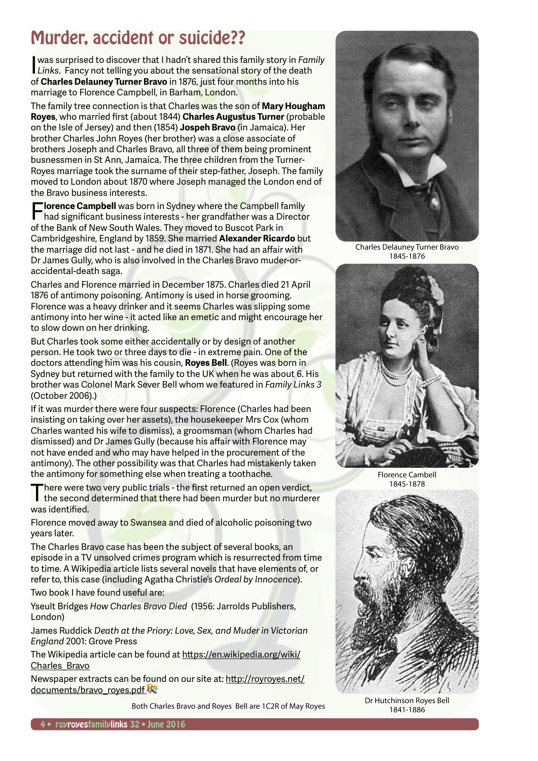# Murder, accident or suicide??

I was surprised to discover that I hadn't shared this family story in *Family*  **Links.** Fancy not telling you about the sensational story of the death of **Charles Delauney Turner Bravo** in 1876, just four months into his marriage to Florence Campbell, in Barham, London.

The family tree connection is that Charles was the son of **Mary Hougham Royes**, who married first (about 1844) **Charles Augustus Turner** (probable on the Isle of Jersey) and then (1854) **Jospeh Bravo** (in Jamaica). Her brother Charles John Royes (her brother) was a close associate of brothers Joseph and Charles Bravo, all three of them being prominent busnessmen in St Ann, Jamaica. The three children from the Turner-Royes marriage took the surname of their step-father, Joseph. The family moved to London about 1870 where Joseph managed the London end of the Bravo business interests.

**Florence Campbell** was born in Sydney where the Campbell family<br>had significant business interests - her grandfather was a Director of the Bank of New South Wales. They moved to Buscot Park in Cambridgeshire, England by 1859. She married **Alexander Ricardo** but the marriage did not last - and he died in 1871. She had an affair with Dr James Gully, who is also involved in the Charles Bravo muder-oraccidental-death saga.

Charles and Florence married in December 1875. Charles died 21 April 1876 of antimony poisoning. Antimony is used in horse grooming. Florence was a heavy drinker and it seems Charles was slipping some antimony into her wine - it acted like an emetic and might encourage her to slow down on her drinking.

But Charles took some either accidentally or by design of another person. He took two or three days to die - in extreme pain. One of the doctors attending him was his cousin, **Royes Bell**. (Royes was born in Sydney but returned with the family to the UK when he was about 6. His brother was Colonel Mark Sever Bell whom we featured in *Family Links 3* (October 2006).)

If it was murder there were four suspects: Florence (Charles had been insisting on taking over her assets), the housekeeper Mrs Cox (whom Charles wanted his wife to dismiss), a groomsman (whom Charles had dismissed) and Dr James Gully (because his affair with Florence may not have ended and who may have helped in the procurement of the antimony). The other possibility was that Charles had mistakenly taken the antimony for something else when treating a toothache.

here were two very public trials - the first returned an open verdict, the second determined that there had been murder but no murderer was identified.

Florence moved away to Swansea and died of alcoholic poisoning two years later.

The Charles Bravo case has been the subject of several books, an episode in a TV unsolved crimes program which is resurrected from time to time. A Wikipedia article lists several novels that have elements of, or refer to, this case (including Agatha Christie's *Ordeal by Innocence*).

Two book I have found useful are:

Yseult Bridges *How Charles Bravo Died* (1956: Jarrolds Publishers, London)

James Ruddick *Death at the Priory: Love, Sex, and Muder in Victorian England* 2001: Grove Press

The Wikipedia article can be found at https://en.wikipedia.org/wiki/ Charles Bravo

Newspaper extracts can be found on our site at: http://royroyes.net/ documents/bravo\_royes.pdf

Both Charles Bravo and Royes Bell are 1C2R of May Royes



Charles Delauney Turner Bravo 1845-1876



Florence Cambell 1845-1878



Dr Hutchinson Royes Bell 1841-1886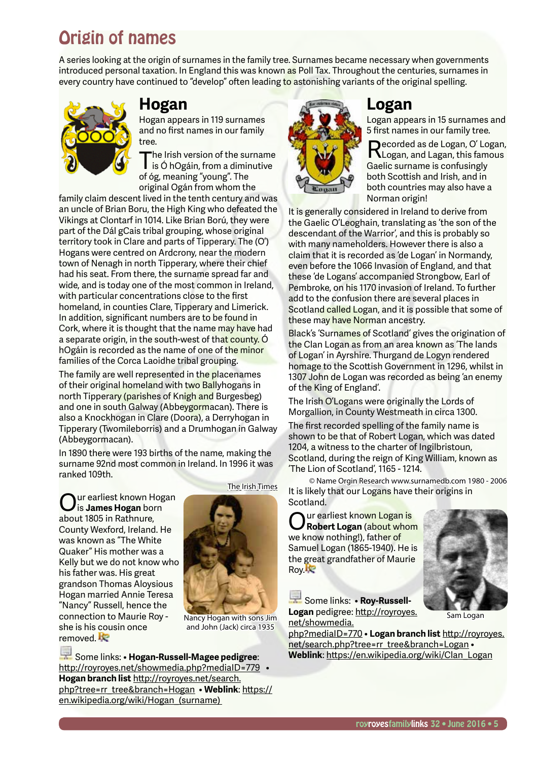# Origin of names

A series looking at the origin of surnames in the family tree. Surnames became necessary when governments introduced personal taxation. In England this was known as Poll Tax. Throughout the centuries, surnames in every country have continued to "develop" often leading to astonishing variants of the original spelling.



### **Hogan**

Hogan appears in 119 surnames and no first names in our family tree.

The Irish version of the surname<br>is Ó hOgáin, from a diminutive of óg, meaning "young". The original Ogán from whom the

family claim descent lived in the tenth century and was an uncle of Brian Boru, the High King who defeated the Vikings at Clontarf in 1014. Like Brian Ború, they were part of the Dál gCais tribal grouping, whose original territory took in Clare and parts of Tipperary. The (O') Hogans were centred on Ardcrony, near the modern town of Nenagh in north Tipperary, where their chief had his seat. From there, the surname spread far and wide, and is today one of the most common in Ireland, with particular concentrations close to the first homeland, in counties Clare, Tipperary and Limerick. In addition, significant numbers are to be found in Cork, where it is thought that the name may have had a separate origin, in the south-west of that county. Ó hOgáin is recorded as the name of one of the minor families of the Corca Laoidhe tribal grouping.

The family are well represented in the placenames of their original homeland with two Ballyhogans in north Tipperary (parishes of Knigh and Burgesbeg) and one in south Galway (Abbeygormacan). There is also a Knockhogan in Clare (Doora), a Derryhogan in Tipperary (Twomileborris) and a Drumhogan in Galway (Abbeygormacan).

In 1890 there were 193 births of the name, making the surname 92nd most common in Ireland. In 1996 it was ranked 109th.

ur earliest known Hogan is **James Hogan** born about 1805 in Rathnure, County Wexford, Ireland. He was known as "The White Quaker" His mother was a Kelly but we do not know who his father was. His great grandson Thomas Aloysious Hogan married Annie Teresa "Nancy" Russell, hence the connection to Maurie Roy she is his cousin once removed. **Re** 

The Irish Times



Nancy Hogan with sons Jim and John (Jack) circa 1935

 Some links: • **Hogan-Russell-Magee pedigree**: http://royroyes.net/showmedia.php?mediaID=779 • **Hogan branch list** http://royroyes.net/search. php?tree=rr\_tree&branch=Hogan • **Weblink**: https:// en.wikipedia.org/wiki/Hogan (surname)



### **Logan**

Logan appears in 15 surnames and 5 first names in our family tree. Recorded as de Logan, O' Logan,<br>RLogan, and Lagan, this famous Gaelic surname is confusingly both Scottish and Irish, and in both countries may also have a Norman origin!

It is generally considered in Ireland to derive from the Gaelic O'Leoghain, translating as 'the son of the descendant of the Warrior', and this is probably so with many nameholders. However there is also a claim that it is recorded as 'de Logan' in Normandy, even before the 1066 Invasion of England, and that these 'de Logans' accompanied Strongbow, Earl of Pembroke, on his 1170 invasion of Ireland. To further add to the confusion there are several places in Scotland called Logan, and it is possible that some of these may have Norman ancestry.

Black's 'Surnames of Scotland' gives the origination of the Clan Logan as from an area known as 'The lands of Logan' in Ayrshire. Thurgand de Logyn rendered homage to the Scottish Government in 1296, whilst in 1307 John de Logan was recorded as being 'an enemy of the King of England'.

The Irish O'Logans were originally the Lords of Morgallion, in County Westmeath in circa 1300.

The first recorded spelling of the family name is shown to be that of Robert Logan, which was dated 1204, a witness to the charter of Ingilbristoun, Scotland, during the reign of King William, known as 'The Lion of Scotland', 1165 - 1214.

© Name Orgin Research www.surnamedb.com 1980 - 2006 It is likely that our Logans have their origins in Scotland.

Our earliest known Logan is **Robert Logan** (about whom we know nothing!), father of Samuel Logan (1865-1940). He is the great grandfather of Maurie Roy.

 Some links: • **Roy-Russell-Logan** pedigree: http://royroyes. net/showmedia.

php?mediaID=770 • **Logan branch list** http://royroyes. net/search.php?tree=rr\_tree&branch=Logan • **Weblink**: https://en.wikipedia.org/wiki/Clan\_Logan



Sam Logan